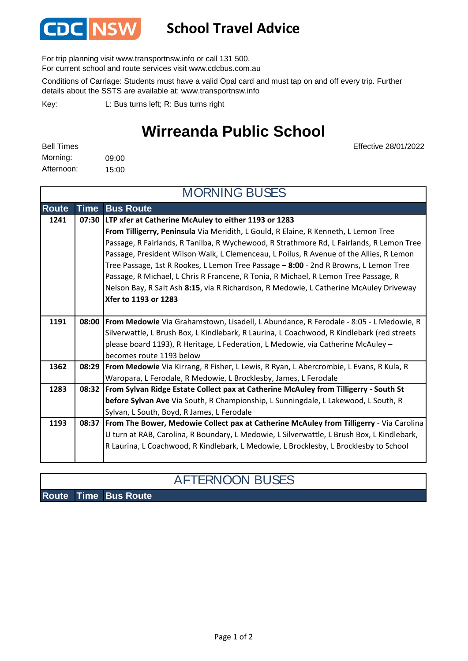

## **School Travel Advice**

For trip planning visit www.transportnsw.info or call 131 500.

For current school and route services visit www.cdcbus.com.au

Conditions of Carriage: Students must have a valid Opal card and must tap on and off every trip. Further details about the SSTS are available at: www.transportnsw.info

L: Bus turns left; R: Bus turns right Key:

## **Wirreanda Public School**

09:00 15:00 Afternoon: Bell Times Morning:

Effective 28/01/2022

| <b>MORNING BUSES</b> |             |                                                                                                |  |
|----------------------|-------------|------------------------------------------------------------------------------------------------|--|
| <b>Route</b>         | <b>Time</b> | <b>Bus Route</b>                                                                               |  |
| 1241                 |             | 07:30   LTP xfer at Catherine McAuley to either 1193 or 1283                                   |  |
|                      |             | From Tilligerry, Peninsula Via Meridith, L Gould, R Elaine, R Kenneth, L Lemon Tree            |  |
|                      |             | Passage, R Fairlands, R Tanilba, R Wychewood, R Strathmore Rd, L Fairlands, R Lemon Tree       |  |
|                      |             | Passage, President Wilson Walk, L Clemenceau, L Poilus, R Avenue of the Allies, R Lemon        |  |
|                      |             | Tree Passage, 1st R Rookes, L Lemon Tree Passage - 8:00 - 2nd R Browns, L Lemon Tree           |  |
|                      |             | Passage, R Michael, L Chris R Francene, R Tonia, R Michael, R Lemon Tree Passage, R            |  |
|                      |             | Nelson Bay, R Salt Ash 8:15, via R Richardson, R Medowie, L Catherine McAuley Driveway         |  |
|                      |             | <b>Xfer to 1193 or 1283</b>                                                                    |  |
|                      |             |                                                                                                |  |
| 1191                 |             | 08:00   From Medowie Via Grahamstown, Lisadell, L Abundance, R Ferodale - 8:05 - L Medowie, R  |  |
|                      |             | Silverwattle, L Brush Box, L Kindlebark, R Laurina, L Coachwood, R Kindlebark (red streets     |  |
|                      |             | please board 1193), R Heritage, L Federation, L Medowie, via Catherine McAuley -               |  |
|                      |             | becomes route 1193 below                                                                       |  |
| 1362                 |             | 08:29   From Medowie Via Kirrang, R Fisher, L Lewis, R Ryan, L Abercrombie, L Evans, R Kula, R |  |
|                      |             | Waropara, L Ferodale, R Medowie, L Brocklesby, James, L Ferodale                               |  |
| 1283                 |             | 08:32   From Sylvan Ridge Estate Collect pax at Catherine McAuley from Tilligerry - South St   |  |
|                      |             | before Sylvan Ave Via South, R Championship, L Sunningdale, L Lakewood, L South, R             |  |
|                      |             | Sylvan, L South, Boyd, R James, L Ferodale                                                     |  |
| 1193                 |             | 08:37  From The Bower, Medowie Collect pax at Catherine McAuley from Tilligerry - Via Carolina |  |
|                      |             | U turn at RAB, Carolina, R Boundary, L Medowie, L Silverwattle, L Brush Box, L Kindlebark,     |  |
|                      |             | R Laurina, L Coachwood, R Kindlebark, L Medowie, L Brocklesby, L Brocklesby to School          |  |
|                      |             |                                                                                                |  |

## AFTERNOON BUSES

**Route Time Bus Route**